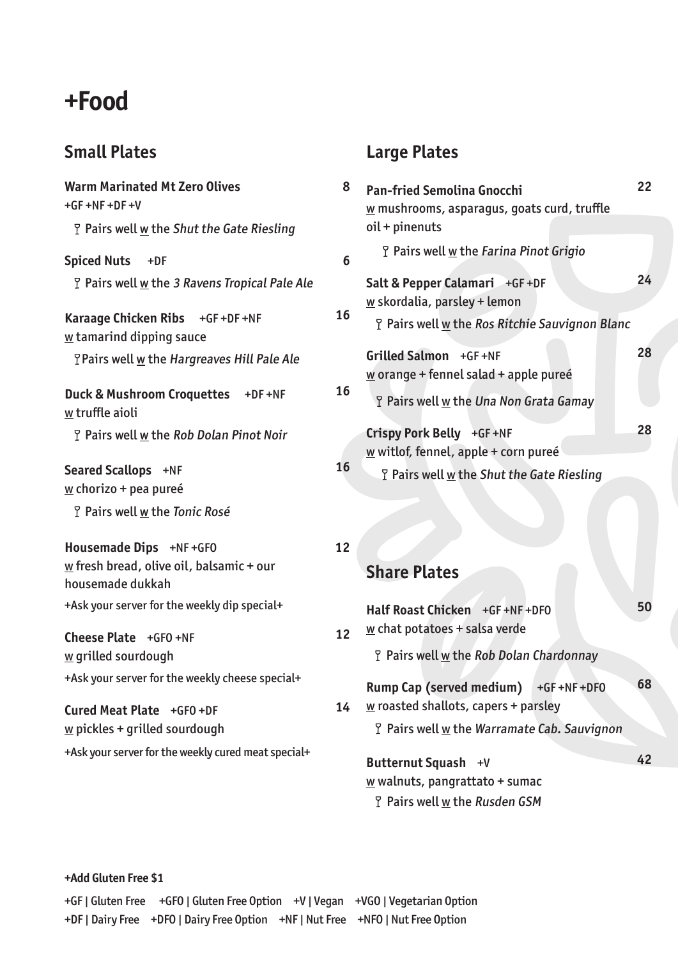# **+Food**

### **Small Plates**

| <b>Warm Marinated Mt Zero Olives</b><br>$+GF + NF + DF + V$                                                                     | 8  | Pa<br>$\underline{\mathsf{w}}$ |
|---------------------------------------------------------------------------------------------------------------------------------|----|--------------------------------|
| <b>P</b> Pairs well w the Shut the Gate Riesling                                                                                |    | oi                             |
| <b>Spiced Nuts</b><br>$+DF$                                                                                                     | 6  |                                |
| <b>T</b> Pairs well <u>w</u> the 3 Ravens Tropical Pale Ale                                                                     |    | Sa                             |
| Karaage Chicken Ribs +GF+DF+NF<br>$\underline{w}$ tamarind dipping sauce                                                        | 16 | $\underline{\mathsf{w}}$       |
| <b>Pairs well w the Hargreaves Hill Pale Ale</b>                                                                                |    | Gr<br><u>W</u>                 |
| Duck & Mushroom Croquettes +DF+NF<br>w truffle aioli                                                                            | 16 |                                |
| P Pairs well w the Rob Dolan Pinot Noir                                                                                         |    | Cr<br>$\underline{\mathsf{w}}$ |
| Seared Scallops +NF<br>$\underline{w}$ chorizo + pea pureé                                                                      | 16 |                                |
| P Pairs well w the Tonic Rosé                                                                                                   |    |                                |
| Housemade Dips +NF +GF0<br>$\underline{w}$ fresh bread, olive oil, balsamic + our<br>housemade dukkah                           | 12 | Sl                             |
| +Ask your server for the weekly dip special+                                                                                    |    | Ha                             |
| Cheese Plate +GFO +NF<br>w grilled sourdough                                                                                    | 12 | $\underline{\mathsf{w}}$<br>ſ  |
| +Ask your server for the weekly cheese special+                                                                                 |    | Rι                             |
| Cured Meat Plate +GFO +DF<br>$\underline{w}$ pickles + grilled sourdough<br>+Ask your server for the weekly cured meat special+ | 14 | <u>W</u><br>ľ<br>Βι            |
|                                                                                                                                 |    | $\underline{\mathsf{w}}$       |

## **Large Plates**

| <b>Pan-fried Semolina Gnocchi</b><br>$\underline{w}$ mushrooms, asparagus, goats curd, truffle | 22 |
|------------------------------------------------------------------------------------------------|----|
| $oil + pinenuts$                                                                               |    |
| P Pairs well w the Farina Pinot Grigio                                                         |    |
| Salt & Pepper Calamari +GF +DF                                                                 | 24 |
| $\underline{w}$ skordalia, parsley + lemon                                                     |    |
| <b>P</b> Pairs well w the Ros Ritchie Sauvignon Blanc                                          |    |
| Grilled Salmon +GF +NF                                                                         | 28 |
| w orange + fennel salad + apple pureé                                                          |    |
| <b>P</b> Pairs well w the Una Non Grata Gamay                                                  |    |
| Crispy Pork Belly +GF+NF                                                                       | 28 |
| $\underline{w}$ witlof, fennel, apple + corn pureé                                             |    |
| <b>P</b> Pairs well w the Shut the Gate Riesling                                               |    |
|                                                                                                |    |

**Share Plates**

| 12 | Half Roast Chicken +GF+NF+DF0<br>$\underline{w}$ chat potatoes + salsa verde                              | 50 |  |
|----|-----------------------------------------------------------------------------------------------------------|----|--|
|    | <b>P</b> Pairs well w the Rob Dolan Chardonnay                                                            |    |  |
| 14 | <b>Rump Cap (served medium)</b><br>$+GF + NF + DFO$<br>$\underline{w}$ roasted shallots, capers + parsley | 68 |  |
|    | <b>P</b> Pairs well w the Warramate Cab. Sauvignon                                                        |    |  |
|    | Butternut Squash +V                                                                                       | 42 |  |
|    | $\underline{w}$ walnuts, pangrattato + sumac                                                              |    |  |
|    | P Pairs well w the Rusden GSM                                                                             |    |  |

**+Add Gluten Free \$1**

|                                                                                 | +GF   Gluten Free +GFO   Gluten Free Option +V   Vegan +VGO   Vegetarian Option |
|---------------------------------------------------------------------------------|---------------------------------------------------------------------------------|
| +DF   Dairy Free +DFO   Dairy Free Option +NF   Nut Free +NFO   Nut Free Option |                                                                                 |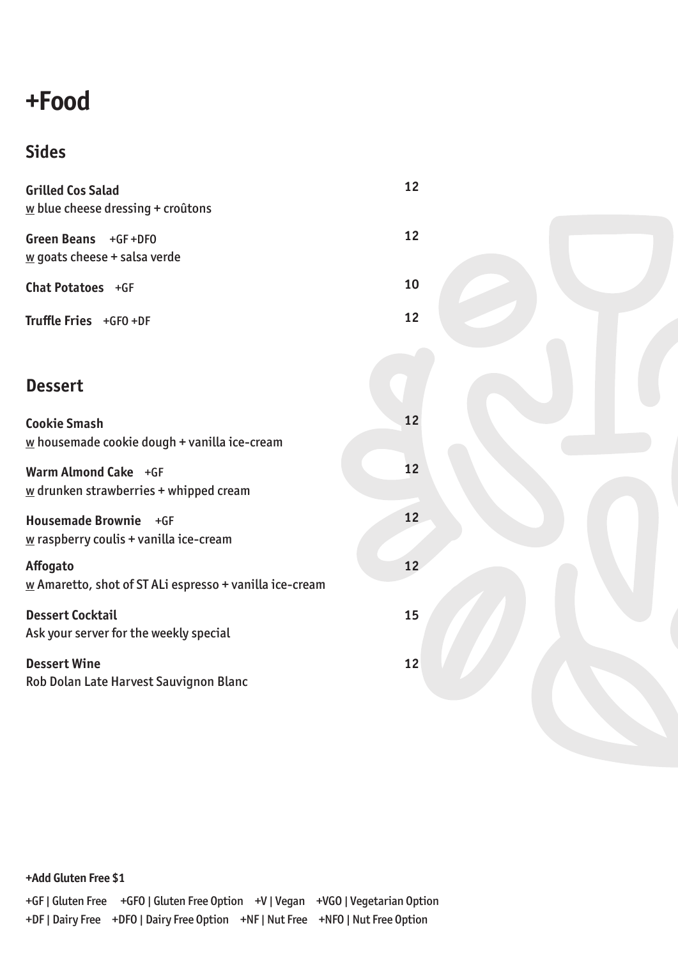# **+Food**

## **Sides**

| <b>Grilled Cos Salad</b><br>$\underline{w}$ blue cheese dressing + croûtons       | 12 |  |
|-----------------------------------------------------------------------------------|----|--|
| Green Beans +GF+DF0<br>$\underline{w}$ goats cheese + salsa verde                 | 12 |  |
| Chat Potatoes +GF                                                                 | 10 |  |
| Truffle Fries +GFO +DF                                                            | 12 |  |
|                                                                                   |    |  |
| <b>Dessert</b>                                                                    |    |  |
| <b>Cookie Smash</b><br>$\underline{w}$ housemade cookie dough + vanilla ice-cream | 12 |  |
| Warm Almond Cake +GF<br>$\underline{w}$ drunken strawberries + whipped cream      | 12 |  |
| Housemade Brownie +GF<br>$\underline{w}$ raspberry coulis + vanilla ice-cream     | 12 |  |
| Affogato<br>$\underline{w}$ Amaretto, shot of ST ALi espresso + vanilla ice-cream | 12 |  |
| <b>Dessert Cocktail</b><br>Ask your server for the weekly special                 | 15 |  |
| <b>Dessert Wine</b><br>Rob Dolan Late Harvest Sauvignon Blanc                     | 12 |  |
|                                                                                   |    |  |

**+Add Gluten Free \$1**

|                                                                                 | +GF   Gluten Free +GFO   Gluten Free Option +V   Vegan +VGO   Vegetarian Option |
|---------------------------------------------------------------------------------|---------------------------------------------------------------------------------|
| +DF   Dairy Free +DFO   Dairy Free Option +NF   Nut Free +NFO   Nut Free Option |                                                                                 |